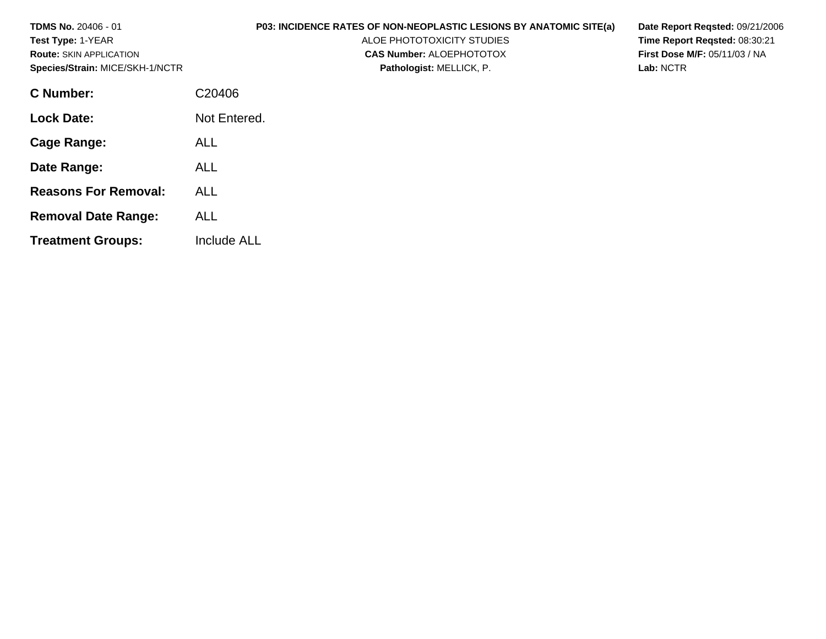| <b>TDMS No. 20406 - 01</b><br><b>Test Type: 1-YEAR</b><br><b>Route: SKIN APPLICATION</b><br>Species/Strain: MICE/SKH-1/NCTR | <b>P03: INCIDENCE RATES OF NON-NEOPLASTIC LESIONS BY ANATOMIC SITE(a)</b><br>ALOE PHOTOTOXICITY STUDIES<br><b>CAS Number: ALOEPHOTOTOX</b><br>Pathologist: MELLICK, P. | Date Report Regsted: 09/21/2006<br>Time Report Regsted: 08:30:21<br><b>First Dose M/F: 05/11/03 / NA</b><br>Lab: NCTR |
|-----------------------------------------------------------------------------------------------------------------------------|------------------------------------------------------------------------------------------------------------------------------------------------------------------------|-----------------------------------------------------------------------------------------------------------------------|
| <b>C</b> Number:                                                                                                            | C20406                                                                                                                                                                 |                                                                                                                       |
| <b>Lock Date:</b>                                                                                                           | Not Entered.                                                                                                                                                           |                                                                                                                       |
| Cage Range:                                                                                                                 | <b>ALL</b>                                                                                                                                                             |                                                                                                                       |
| Date Range:                                                                                                                 | <b>ALL</b>                                                                                                                                                             |                                                                                                                       |
| <b>Reasons For Removal:</b>                                                                                                 | <b>ALL</b>                                                                                                                                                             |                                                                                                                       |
| <b>Removal Date Range:</b>                                                                                                  | <b>ALL</b>                                                                                                                                                             |                                                                                                                       |
| <b>Treatment Groups:</b>                                                                                                    | <b>Include ALL</b>                                                                                                                                                     |                                                                                                                       |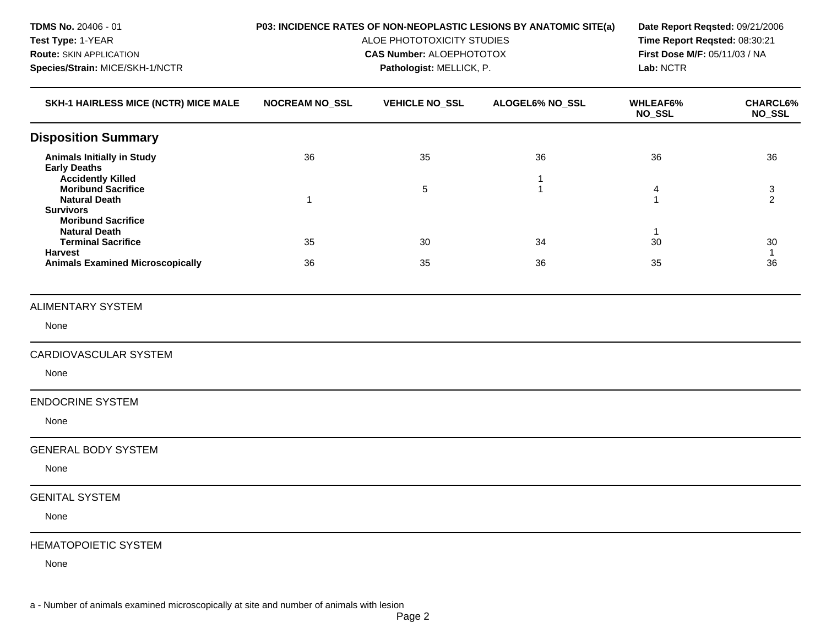| TDMS No. 20406 - 01                                                                               | P03: INCIDENCE RATES OF NON-NEOPLASTIC LESIONS BY ANATOMIC SITE(a)<br>ALOE PHOTOTOXICITY STUDIES |                                                             |                  | Date Report Reqsted: 09/21/2006            |                           |
|---------------------------------------------------------------------------------------------------|--------------------------------------------------------------------------------------------------|-------------------------------------------------------------|------------------|--------------------------------------------|---------------------------|
| Test Type: 1-YEAR                                                                                 |                                                                                                  | Time Report Reqsted: 08:30:21                               |                  |                                            |                           |
| <b>Route: SKIN APPLICATION</b><br>Species/Strain: MICE/SKH-1/NCTR                                 |                                                                                                  | <b>CAS Number: ALOEPHOTOTOX</b><br>Pathologist: MELLICK, P. |                  | First Dose M/F: 05/11/03 / NA<br>Lab: NCTR |                           |
|                                                                                                   |                                                                                                  |                                                             |                  |                                            |                           |
| SKH-1 HAIRLESS MICE (NCTR) MICE MALE                                                              | <b>NOCREAM NO_SSL</b>                                                                            | <b>VEHICLE NO_SSL</b>                                       | ALOGEL6% NO_SSL  | <b>WHLEAF6%</b><br>NO_SSL                  | <b>CHARCL6%</b><br>NO_SSL |
| <b>Disposition Summary</b>                                                                        |                                                                                                  |                                                             |                  |                                            |                           |
| <b>Animals Initially in Study</b><br><b>Early Deaths</b>                                          | 36                                                                                               | 35                                                          | 36               | 36                                         | 36                        |
| <b>Accidently Killed</b><br><b>Moribund Sacrifice</b><br><b>Natural Death</b><br><b>Survivors</b> | 1                                                                                                | 5                                                           | 1<br>$\mathbf 1$ | 4<br>1                                     | $\sqrt{3}$<br>2           |
| <b>Moribund Sacrifice</b><br><b>Natural Death</b><br><b>Terminal Sacrifice</b><br><b>Harvest</b>  | 35                                                                                               | 30                                                          | 34               | $\mathbf{1}$<br>30                         | 30<br>$\mathbf{1}$        |
| <b>Animals Examined Microscopically</b>                                                           | 36                                                                                               | 35                                                          | 36               | 35                                         | 36                        |
| <b>ALIMENTARY SYSTEM</b>                                                                          |                                                                                                  |                                                             |                  |                                            |                           |
| None                                                                                              |                                                                                                  |                                                             |                  |                                            |                           |
| <b>CARDIOVASCULAR SYSTEM</b>                                                                      |                                                                                                  |                                                             |                  |                                            |                           |
| None                                                                                              |                                                                                                  |                                                             |                  |                                            |                           |
| <b>ENDOCRINE SYSTEM</b>                                                                           |                                                                                                  |                                                             |                  |                                            |                           |
| None                                                                                              |                                                                                                  |                                                             |                  |                                            |                           |
| <b>GENERAL BODY SYSTEM</b>                                                                        |                                                                                                  |                                                             |                  |                                            |                           |
| None                                                                                              |                                                                                                  |                                                             |                  |                                            |                           |
| <b>GENITAL SYSTEM</b>                                                                             |                                                                                                  |                                                             |                  |                                            |                           |
| None                                                                                              |                                                                                                  |                                                             |                  |                                            |                           |
| <b>HEMATOPOIETIC SYSTEM</b>                                                                       |                                                                                                  |                                                             |                  |                                            |                           |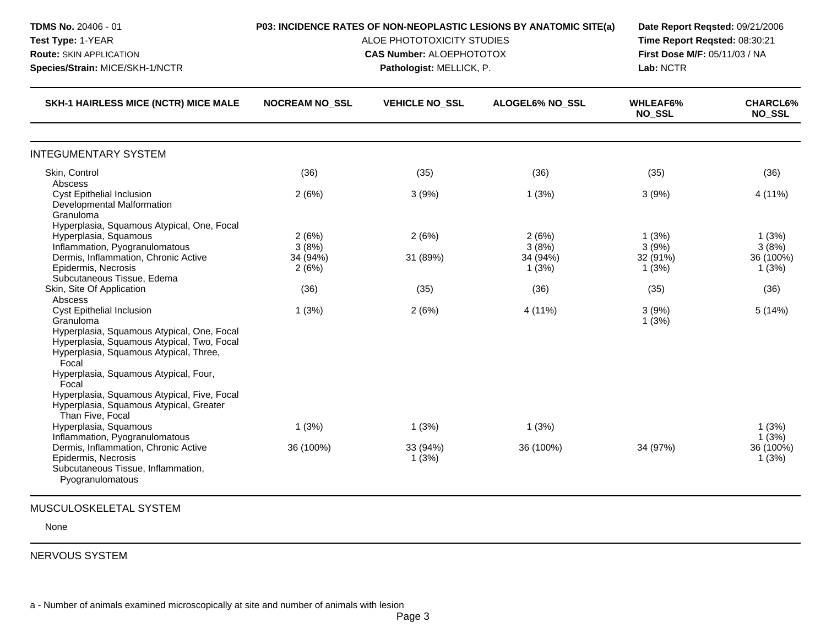| <b>TDMS No. 20406 - 01</b><br>Test Type: 1-YEAR<br><b>Route: SKIN APPLICATION</b><br>Species/Strain: MICE/SKH-1/NCTR                                                                                                                                                                                                                         | P03: INCIDENCE RATES OF NON-NEOPLASTIC LESIONS BY ANATOMIC SITE(a)<br>ALOE PHOTOTOXICITY STUDIES<br><b>CAS Number: ALOEPHOTOTOX</b> | Date Report Reqsted: 09/21/2006<br>Time Report Reqsted: 08:30:21<br>First Dose M/F: 05/11/03 / NA<br>Lab: NCTR |                                     |                                     |                                      |
|----------------------------------------------------------------------------------------------------------------------------------------------------------------------------------------------------------------------------------------------------------------------------------------------------------------------------------------------|-------------------------------------------------------------------------------------------------------------------------------------|----------------------------------------------------------------------------------------------------------------|-------------------------------------|-------------------------------------|--------------------------------------|
| SKH-1 HAIRLESS MICE (NCTR) MICE MALE                                                                                                                                                                                                                                                                                                         | <b>NOCREAM NO_SSL</b>                                                                                                               | <b>VEHICLE NO_SSL</b>                                                                                          | ALOGEL6% NO_SSL                     | <b>WHLEAF6%</b><br><b>NO_SSL</b>    | <b>CHARCL6%</b><br><b>NO_SSL</b>     |
| <b>INTEGUMENTARY SYSTEM</b>                                                                                                                                                                                                                                                                                                                  |                                                                                                                                     |                                                                                                                |                                     |                                     |                                      |
| Skin, Control                                                                                                                                                                                                                                                                                                                                | (36)                                                                                                                                | (35)                                                                                                           | (36)                                | (35)                                | (36)                                 |
| Abscess<br><b>Cyst Epithelial Inclusion</b><br>Developmental Malformation<br>Granuloma                                                                                                                                                                                                                                                       | 2(6%)                                                                                                                               | 3(9%)                                                                                                          | 1(3%)                               | 3(9%)                               | 4 (11%)                              |
| Hyperplasia, Squamous Atypical, One, Focal<br>Hyperplasia, Squamous<br>Inflammation, Pyogranulomatous<br>Dermis, Inflammation, Chronic Active<br>Epidermis, Necrosis<br>Subcutaneous Tissue, Edema                                                                                                                                           | 2(6%)<br>3(8%)<br>34 (94%)<br>2(6%)                                                                                                 | 2(6%)<br>31 (89%)                                                                                              | 2(6%)<br>3(8%)<br>34 (94%)<br>1(3%) | 1(3%)<br>3(9%)<br>32 (91%)<br>1(3%) | 1(3%)<br>3(8%)<br>36 (100%)<br>1(3%) |
| Skin, Site Of Application                                                                                                                                                                                                                                                                                                                    | (36)                                                                                                                                | (35)                                                                                                           | (36)                                | (35)                                | (36)                                 |
| Abscess<br>Cyst Epithelial Inclusion<br>Granuloma<br>Hyperplasia, Squamous Atypical, One, Focal<br>Hyperplasia, Squamous Atypical, Two, Focal<br>Hyperplasia, Squamous Atypical, Three,<br>Focal<br>Hyperplasia, Squamous Atypical, Four,<br>Focal<br>Hyperplasia, Squamous Atypical, Five, Focal<br>Hyperplasia, Squamous Atypical, Greater | 1(3%)                                                                                                                               | 2(6%)                                                                                                          | 4 (11%)                             | 3(9%)<br>1(3%)                      | 5(14%)                               |
| Than Five, Focal<br>Hyperplasia, Squamous                                                                                                                                                                                                                                                                                                    | 1(3%)                                                                                                                               | 1(3%)                                                                                                          | 1(3%)                               |                                     | 1(3%)                                |
| Inflammation, Pyogranulomatous<br>Dermis, Inflammation, Chronic Active<br>Epidermis, Necrosis<br>Subcutaneous Tissue, Inflammation,<br>Pyogranulomatous                                                                                                                                                                                      | 36 (100%)                                                                                                                           | 33 (94%)<br>1(3%)                                                                                              | 36 (100%)                           | 34 (97%)                            | 1(3%)<br>36 (100%)<br>1(3%)          |

NERVOUS SYSTEM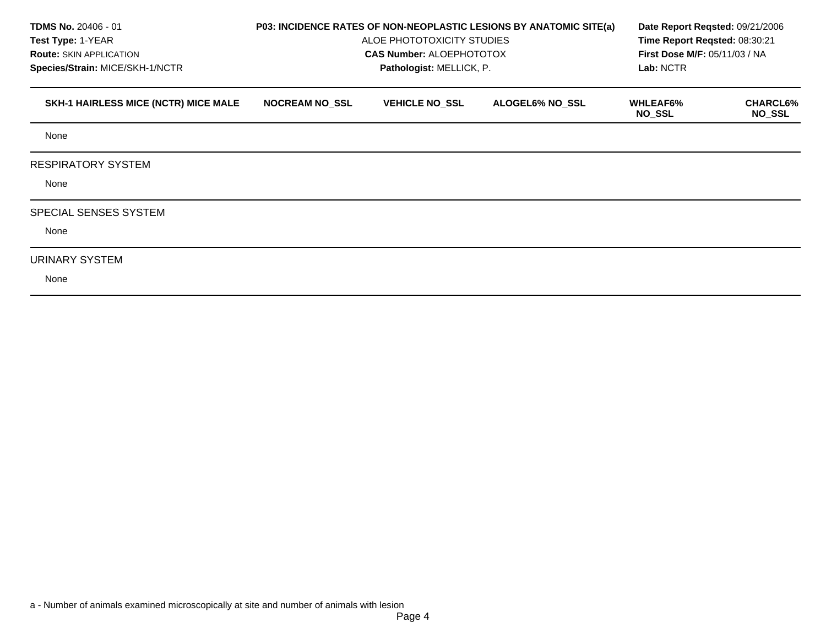| <b>TDMS No. 20406 - 01</b><br><b>Test Type: 1-YEAR</b><br><b>Route: SKIN APPLICATION</b><br>Species/Strain: MICE/SKH-1/NCTR | P03: INCIDENCE RATES OF NON-NEOPLASTIC LESIONS BY ANATOMIC SITE(a)<br>ALOE PHOTOTOXICITY STUDIES<br><b>CAS Number: ALOEPHOTOTOX</b> | Date Report Regsted: 09/21/2006<br>Time Report Regsted: 08:30:21<br><b>First Dose M/F: 05/11/03 / NA</b><br>Lab: NCTR |                        |                                  |                                  |
|-----------------------------------------------------------------------------------------------------------------------------|-------------------------------------------------------------------------------------------------------------------------------------|-----------------------------------------------------------------------------------------------------------------------|------------------------|----------------------------------|----------------------------------|
| <b>SKH-1 HAIRLESS MICE (NCTR) MICE MALE</b>                                                                                 | <b>NOCREAM NO_SSL</b>                                                                                                               | <b>VEHICLE NO_SSL</b>                                                                                                 | <b>ALOGEL6% NO_SSL</b> | <b>WHLEAF6%</b><br><b>NO_SSL</b> | <b>CHARCL6%</b><br><b>NO_SSL</b> |
| None                                                                                                                        |                                                                                                                                     |                                                                                                                       |                        |                                  |                                  |
| <b>RESPIRATORY SYSTEM</b><br>None                                                                                           |                                                                                                                                     |                                                                                                                       |                        |                                  |                                  |
| <b>SPECIAL SENSES SYSTEM</b><br>None                                                                                        |                                                                                                                                     |                                                                                                                       |                        |                                  |                                  |
| URINARY SYSTEM<br>None                                                                                                      |                                                                                                                                     |                                                                                                                       |                        |                                  |                                  |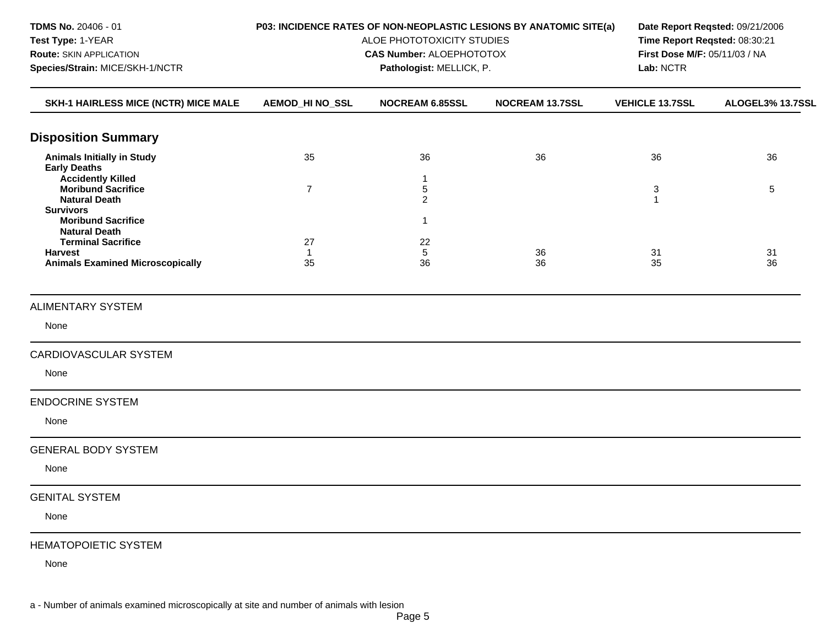| TDMS No. 20406 - 01                                                           |                        | P03: INCIDENCE RATES OF NON-NEOPLASTIC LESIONS BY ANATOMIC SITE(a)<br>ALOE PHOTOTOXICITY STUDIES |                                                                | Date Report Reqsted: 09/21/2006 |                  |
|-------------------------------------------------------------------------------|------------------------|--------------------------------------------------------------------------------------------------|----------------------------------------------------------------|---------------------------------|------------------|
| Test Type: 1-YEAR                                                             |                        |                                                                                                  | Time Report Reqsted: 08:30:21<br>First Dose M/F: 05/11/03 / NA |                                 |                  |
| <b>Route: SKIN APPLICATION</b><br>Species/Strain: MICE/SKH-1/NCTR             |                        | <b>CAS Number: ALOEPHOTOTOX</b><br>Pathologist: MELLICK, P.                                      |                                                                | Lab: NCTR                       |                  |
|                                                                               |                        |                                                                                                  |                                                                |                                 |                  |
| SKH-1 HAIRLESS MICE (NCTR) MICE MALE                                          | <b>AEMOD_HI NO_SSL</b> | NOCREAM 6.85SSL                                                                                  | NOCREAM 13.7SSL                                                | <b>VEHICLE 13.7SSL</b>          | ALOGEL3% 13.7SSL |
| <b>Disposition Summary</b>                                                    |                        |                                                                                                  |                                                                |                                 |                  |
| <b>Animals Initially in Study</b><br><b>Early Deaths</b>                      | 35                     | 36                                                                                               | 36                                                             | 36                              | 36               |
| <b>Accidently Killed</b><br><b>Moribund Sacrifice</b><br><b>Natural Death</b> | $\overline{7}$         | 1<br>5<br>$\overline{c}$                                                                         |                                                                | $\ensuremath{\mathsf{3}}$<br>1  | 5                |
| <b>Survivors</b><br><b>Moribund Sacrifice</b><br><b>Natural Death</b>         |                        | 1                                                                                                |                                                                |                                 |                  |
| <b>Terminal Sacrifice</b>                                                     | 27                     | 22                                                                                               |                                                                | 31                              |                  |
| <b>Harvest</b><br><b>Animals Examined Microscopically</b>                     | 1<br>35                | 5<br>36                                                                                          | 36<br>36                                                       | 35                              | 31<br>36         |
| <b>ALIMENTARY SYSTEM</b>                                                      |                        |                                                                                                  |                                                                |                                 |                  |
| None                                                                          |                        |                                                                                                  |                                                                |                                 |                  |
| CARDIOVASCULAR SYSTEM                                                         |                        |                                                                                                  |                                                                |                                 |                  |
| None                                                                          |                        |                                                                                                  |                                                                |                                 |                  |
| <b>ENDOCRINE SYSTEM</b>                                                       |                        |                                                                                                  |                                                                |                                 |                  |
| None                                                                          |                        |                                                                                                  |                                                                |                                 |                  |
| <b>GENERAL BODY SYSTEM</b>                                                    |                        |                                                                                                  |                                                                |                                 |                  |
| None                                                                          |                        |                                                                                                  |                                                                |                                 |                  |
| <b>GENITAL SYSTEM</b>                                                         |                        |                                                                                                  |                                                                |                                 |                  |
| None                                                                          |                        |                                                                                                  |                                                                |                                 |                  |
| <b>HEMATOPOIETIC SYSTEM</b>                                                   |                        |                                                                                                  |                                                                |                                 |                  |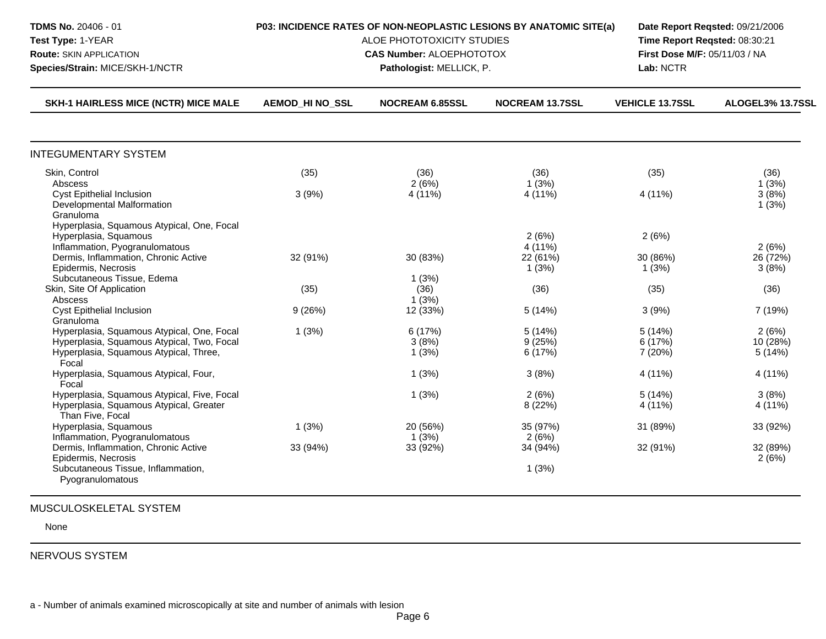| <b>TDMS No. 20406 - 01</b><br>Test Type: 1-YEAR<br><b>Route: SKIN APPLICATION</b><br>Species/Strain: MICE/SKH-1/NCTR                                                                               | P03: INCIDENCE RATES OF NON-NEOPLASTIC LESIONS BY ANATOMIC SITE(a)<br>ALOE PHOTOTOXICITY STUDIES<br><b>CAS Number: ALOEPHOTOTOX</b> | Lab: NCTR                 | Date Report Reqsted: 09/21/2006<br>Time Report Reqsted: 08:30:21<br>First Dose M/F: 05/11/03 / NA |                              |                             |
|----------------------------------------------------------------------------------------------------------------------------------------------------------------------------------------------------|-------------------------------------------------------------------------------------------------------------------------------------|---------------------------|---------------------------------------------------------------------------------------------------|------------------------------|-----------------------------|
| <b>SKH-1 HAIRLESS MICE (NCTR) MICE MALE</b>                                                                                                                                                        | <b>AEMOD HI NO SSL</b>                                                                                                              | <b>NOCREAM 6.85SSL</b>    | <b>NOCREAM 13.7SSL</b>                                                                            | <b>VEHICLE 13.7SSL</b>       | ALOGEL3% 13.7SSL            |
| <b>INTEGUMENTARY SYSTEM</b>                                                                                                                                                                        |                                                                                                                                     |                           |                                                                                                   |                              |                             |
| Skin, Control                                                                                                                                                                                      | (35)                                                                                                                                | (36)                      | (36)                                                                                              | (35)                         | (36)                        |
| Abscess<br><b>Cyst Epithelial Inclusion</b><br>Developmental Malformation<br>Granuloma                                                                                                             | 3(9%)                                                                                                                               | 2(6%)<br>4 (11%)          | 1(3%)<br>4 (11%)                                                                                  | 4 (11%)                      | 1(3%)<br>3(8%)<br>1(3%)     |
| Hyperplasia, Squamous Atypical, One, Focal<br>Hyperplasia, Squamous<br>Inflammation, Pyogranulomatous<br>Dermis, Inflammation, Chronic Active<br>Epidermis, Necrosis<br>Subcutaneous Tissue, Edema | 32 (91%)                                                                                                                            | 30 (83%)<br>1(3%)         | 2(6%)<br>4 (11%)<br>22 (61%)<br>1(3%)                                                             | 2(6%)<br>30 (86%)<br>1(3%)   | 2(6%)<br>26 (72%)<br>3(8%)  |
| Skin, Site Of Application<br>Abscess                                                                                                                                                               | (35)                                                                                                                                | (36)<br>1(3%)             | (36)                                                                                              | (35)                         | (36)                        |
| <b>Cyst Epithelial Inclusion</b><br>Granuloma                                                                                                                                                      | 9(26%)                                                                                                                              | 12 (33%)                  | 5(14%)                                                                                            | 3(9%)                        | 7 (19%)                     |
| Hyperplasia, Squamous Atypical, One, Focal<br>Hyperplasia, Squamous Atypical, Two, Focal<br>Hyperplasia, Squamous Atypical, Three,<br>Focal                                                        | 1(3%)                                                                                                                               | 6 (17%)<br>3(8%)<br>1(3%) | 5(14%)<br>9(25%)<br>6 (17%)                                                                       | 5(14%)<br>6 (17%)<br>7 (20%) | 2(6%)<br>10 (28%)<br>5(14%) |
| Hyperplasia, Squamous Atypical, Four,<br>Focal                                                                                                                                                     |                                                                                                                                     | 1(3%)                     | 3(8%)                                                                                             | 4 (11%)                      | 4 (11%)                     |
| Hyperplasia, Squamous Atypical, Five, Focal<br>Hyperplasia, Squamous Atypical, Greater<br>Than Five, Focal                                                                                         |                                                                                                                                     | 1(3%)                     | 2(6%)<br>8 (22%)                                                                                  | 5(14%)<br>4 (11%)            | 3(8%)<br>4 (11%)            |
| Hyperplasia, Squamous<br>Inflammation, Pyogranulomatous                                                                                                                                            | 1(3%)                                                                                                                               | 20 (56%)<br>1(3%)         | 35 (97%)<br>2(6%)                                                                                 | 31 (89%)                     | 33 (92%)                    |
| Dermis, Inflammation, Chronic Active<br>Epidermis, Necrosis<br>Subcutaneous Tissue, Inflammation,<br>Pyogranulomatous                                                                              | 33 (94%)                                                                                                                            | 33 (92%)                  | 34 (94%)<br>1(3%)                                                                                 | 32 (91%)                     | 32 (89%)<br>2(6%)           |

## MUSCULOSKELETAL SYSTEM

None

NERVOUS SYSTEM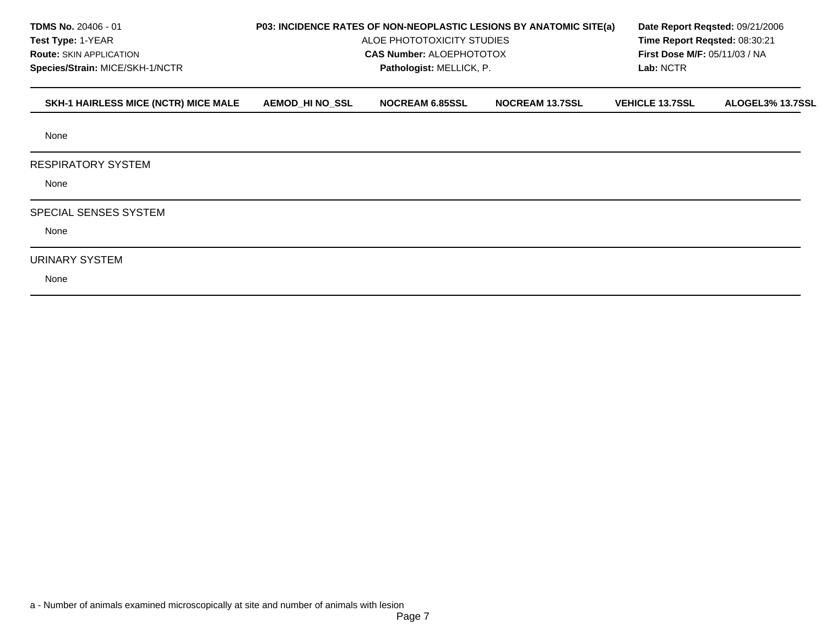| <b>TDMS No. 20406 - 01</b><br>Test Type: 1-YEAR<br><b>Route: SKIN APPLICATION</b><br>Species/Strain: MICE/SKH-1/NCTR |                        | P03: INCIDENCE RATES OF NON-NEOPLASTIC LESIONS BY ANATOMIC SITE(a)<br>ALOE PHOTOTOXICITY STUDIES<br><b>CAS Number: ALOEPHOTOTOX</b><br>Pathologist: MELLICK, P. | Date Report Reqsted: 09/21/2006<br>Time Report Reqsted: 08:30:21<br><b>First Dose M/F: 05/11/03 / NA</b><br>Lab: NCTR |                        |                  |
|----------------------------------------------------------------------------------------------------------------------|------------------------|-----------------------------------------------------------------------------------------------------------------------------------------------------------------|-----------------------------------------------------------------------------------------------------------------------|------------------------|------------------|
| SKH-1 HAIRLESS MICE (NCTR) MICE MALE                                                                                 | <b>AEMOD_HI NO_SSL</b> | <b>NOCREAM 6.85SSL</b>                                                                                                                                          | <b>NOCREAM 13.7SSL</b>                                                                                                | <b>VEHICLE 13.7SSL</b> | ALOGEL3% 13.7SSL |
| None                                                                                                                 |                        |                                                                                                                                                                 |                                                                                                                       |                        |                  |
| <b>RESPIRATORY SYSTEM</b><br>None                                                                                    |                        |                                                                                                                                                                 |                                                                                                                       |                        |                  |
| SPECIAL SENSES SYSTEM<br>None                                                                                        |                        |                                                                                                                                                                 |                                                                                                                       |                        |                  |
| URINARY SYSTEM<br>None                                                                                               |                        |                                                                                                                                                                 |                                                                                                                       |                        |                  |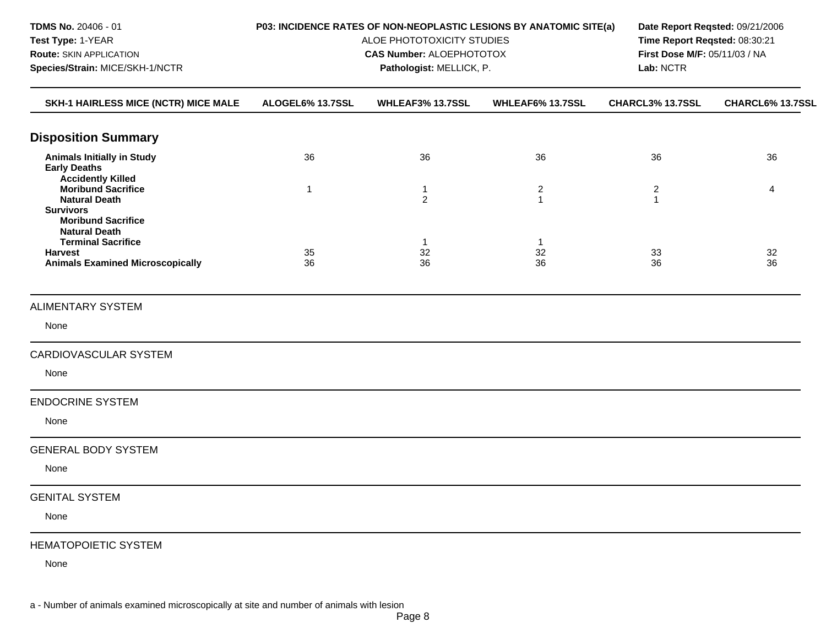| TDMS No. 20406 - 01<br>Test Type: 1-YEAR<br><b>Route: SKIN APPLICATION</b><br>Species/Strain: MICE/SKH-1/NCTR              | P03: INCIDENCE RATES OF NON-NEOPLASTIC LESIONS BY ANATOMIC SITE(a)<br>ALOE PHOTOTOXICITY STUDIES<br><b>CAS Number: ALOEPHOTOTOX</b> | Lab: NCTR                      | Date Report Reqsted: 09/21/2006<br>Time Report Reqsted: 08:30:21<br>First Dose M/F: 05/11/03 / NA |                                |                  |
|----------------------------------------------------------------------------------------------------------------------------|-------------------------------------------------------------------------------------------------------------------------------------|--------------------------------|---------------------------------------------------------------------------------------------------|--------------------------------|------------------|
| SKH-1 HAIRLESS MICE (NCTR) MICE MALE                                                                                       | ALOGEL6% 13.7SSL                                                                                                                    | WHLEAF3% 13.7SSL               | WHLEAF6% 13.7SSL                                                                                  | CHARCL3% 13.7SSL               | CHARCL6% 13.7SSL |
| <b>Disposition Summary</b>                                                                                                 |                                                                                                                                     |                                |                                                                                                   |                                |                  |
| <b>Animals Initially in Study</b><br><b>Early Deaths</b><br><b>Accidently Killed</b>                                       | 36                                                                                                                                  | 36                             | 36                                                                                                | 36                             | 36               |
| <b>Moribund Sacrifice</b><br><b>Natural Death</b><br><b>Survivors</b><br><b>Moribund Sacrifice</b><br><b>Natural Death</b> | 1                                                                                                                                   | $\mathbf{1}$<br>$\overline{c}$ | $\overline{c}$<br>$\mathbf{1}$                                                                    | $\overline{c}$<br>$\mathbf{1}$ | 4                |
| <b>Terminal Sacrifice</b><br><b>Harvest</b><br><b>Animals Examined Microscopically</b>                                     | 35<br>36                                                                                                                            | -1<br>32<br>36                 | -1<br>32<br>36                                                                                    | 33<br>36                       | 32<br>36         |
| <b>ALIMENTARY SYSTEM</b>                                                                                                   |                                                                                                                                     |                                |                                                                                                   |                                |                  |
| None                                                                                                                       |                                                                                                                                     |                                |                                                                                                   |                                |                  |
| <b>CARDIOVASCULAR SYSTEM</b>                                                                                               |                                                                                                                                     |                                |                                                                                                   |                                |                  |
| None                                                                                                                       |                                                                                                                                     |                                |                                                                                                   |                                |                  |
| <b>ENDOCRINE SYSTEM</b>                                                                                                    |                                                                                                                                     |                                |                                                                                                   |                                |                  |
| None                                                                                                                       |                                                                                                                                     |                                |                                                                                                   |                                |                  |
| <b>GENERAL BODY SYSTEM</b><br>None                                                                                         |                                                                                                                                     |                                |                                                                                                   |                                |                  |
| <b>GENITAL SYSTEM</b>                                                                                                      |                                                                                                                                     |                                |                                                                                                   |                                |                  |
| None                                                                                                                       |                                                                                                                                     |                                |                                                                                                   |                                |                  |
| <b>HEMATOPOIETIC SYSTEM</b>                                                                                                |                                                                                                                                     |                                |                                                                                                   |                                |                  |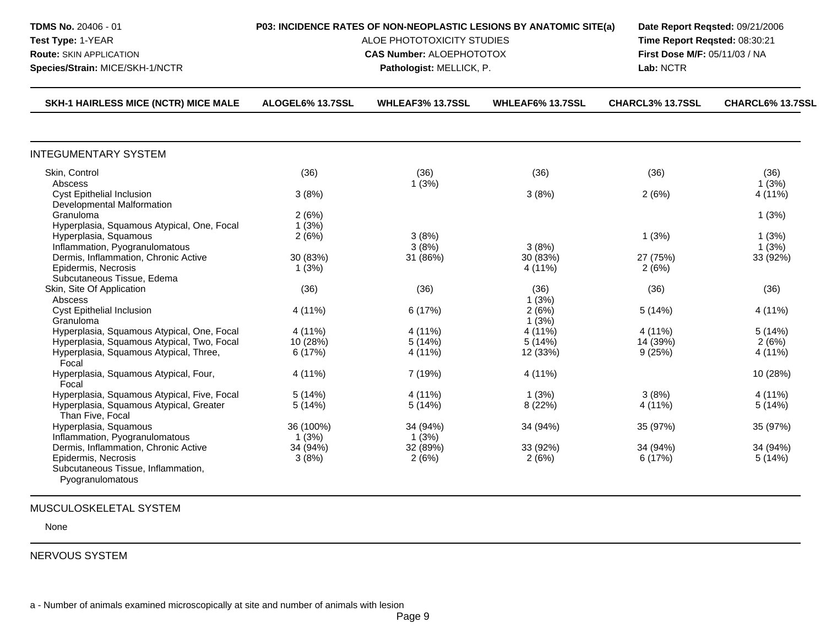| <b>TDMS No. 20406 - 01</b><br>Test Type: 1-YEAR<br><b>Route: SKIN APPLICATION</b><br>Species/Strain: MICE/SKH-1/NCTR  | P03: INCIDENCE RATES OF NON-NEOPLASTIC LESIONS BY ANATOMIC SITE(a)<br>ALOE PHOTOTOXICITY STUDIES<br><b>CAS Number: ALOEPHOTOTOX</b> | Lab: NCTR         | Date Report Regsted: 09/21/2006<br>Time Report Reqsted: 08:30:21<br>First Dose M/F: 05/11/03 / NA |                     |                    |
|-----------------------------------------------------------------------------------------------------------------------|-------------------------------------------------------------------------------------------------------------------------------------|-------------------|---------------------------------------------------------------------------------------------------|---------------------|--------------------|
| <b>SKH-1 HAIRLESS MICE (NCTR) MICE MALE</b>                                                                           | ALOGEL6% 13.7SSL                                                                                                                    | WHLEAF3% 13.7SSL  | <b>WHLEAF6% 13.7SSL</b>                                                                           | CHARCL3% 13.7SSL    | CHARCL6% 13.7SSL   |
| <b>INTEGUMENTARY SYSTEM</b>                                                                                           |                                                                                                                                     |                   |                                                                                                   |                     |                    |
| Skin, Control                                                                                                         | (36)                                                                                                                                | (36)              | (36)                                                                                              | (36)                | (36)               |
| Abscess<br><b>Cyst Epithelial Inclusion</b><br>Developmental Malformation                                             | 3(8%)                                                                                                                               | 1(3%)             | 3(8%)                                                                                             | 2(6%)               | 1(3%)<br>4 (11%)   |
| Granuloma                                                                                                             | 2(6%)                                                                                                                               |                   |                                                                                                   |                     | 1(3%)              |
| Hyperplasia, Squamous Atypical, One, Focal<br>Hyperplasia, Squamous<br>Inflammation, Pyogranulomatous                 | 1(3%)<br>2(6%)                                                                                                                      | 3(8%)<br>3(8%)    | 3(8%)                                                                                             | 1(3%)               | 1(3%)<br>1(3%)     |
| Dermis, Inflammation, Chronic Active<br>Epidermis, Necrosis                                                           | 30 (83%)<br>1(3%)                                                                                                                   | 31 (86%)          | 30 (83%)<br>4 (11%)                                                                               | 27 (75%)<br>2(6%)   | 33 (92%)           |
| Subcutaneous Tissue, Edema<br>Skin, Site Of Application<br>Abscess                                                    | (36)                                                                                                                                | (36)              | (36)<br>1(3%)                                                                                     | (36)                | (36)               |
| <b>Cyst Epithelial Inclusion</b><br>Granuloma                                                                         | 4 (11%)                                                                                                                             | 6 (17%)           | 2(6%)<br>1(3%)                                                                                    | 5(14%)              | 4 (11%)            |
| Hyperplasia, Squamous Atypical, One, Focal                                                                            | 4 (11%)                                                                                                                             | 4 (11%)           | 4 (11%)                                                                                           | 4 (11%)             | 5(14%)             |
| Hyperplasia, Squamous Atypical, Two, Focal<br>Hyperplasia, Squamous Atypical, Three,<br>Focal                         | 10 (28%)<br>6 (17%)                                                                                                                 | 5(14%)<br>4 (11%) | 5(14%)<br>12 (33%)                                                                                | 14 (39%)<br>9(25%)  | 2(6%)<br>4 (11%)   |
| Hyperplasia, Squamous Atypical, Four,<br>Focal                                                                        | 4 (11%)                                                                                                                             | 7 (19%)           | 4 (11%)                                                                                           |                     | 10 (28%)           |
| Hyperplasia, Squamous Atypical, Five, Focal                                                                           | 5(14%)                                                                                                                              | 4 (11%)           | 1(3%)                                                                                             | 3(8%)               | 4 (11%)            |
| Hyperplasia, Squamous Atypical, Greater<br>Than Five, Focal                                                           | 5(14%)                                                                                                                              | 5(14%)            | 8 (22%)                                                                                           | 4 (11%)             | 5(14%)             |
| Hyperplasia, Squamous<br>Inflammation, Pyogranulomatous                                                               | 36 (100%)<br>1(3%)                                                                                                                  | 34 (94%)<br>1(3%) | 34 (94%)                                                                                          | 35 (97%)            | 35 (97%)           |
| Dermis, Inflammation, Chronic Active<br>Epidermis, Necrosis<br>Subcutaneous Tissue, Inflammation,<br>Pyogranulomatous | 34 (94%)<br>3(8%)                                                                                                                   | 32 (89%)<br>2(6%) | 33 (92%)<br>2(6%)                                                                                 | 34 (94%)<br>6 (17%) | 34 (94%)<br>5(14%) |

## MUSCULOSKELETAL SYSTEM

None

NERVOUS SYSTEM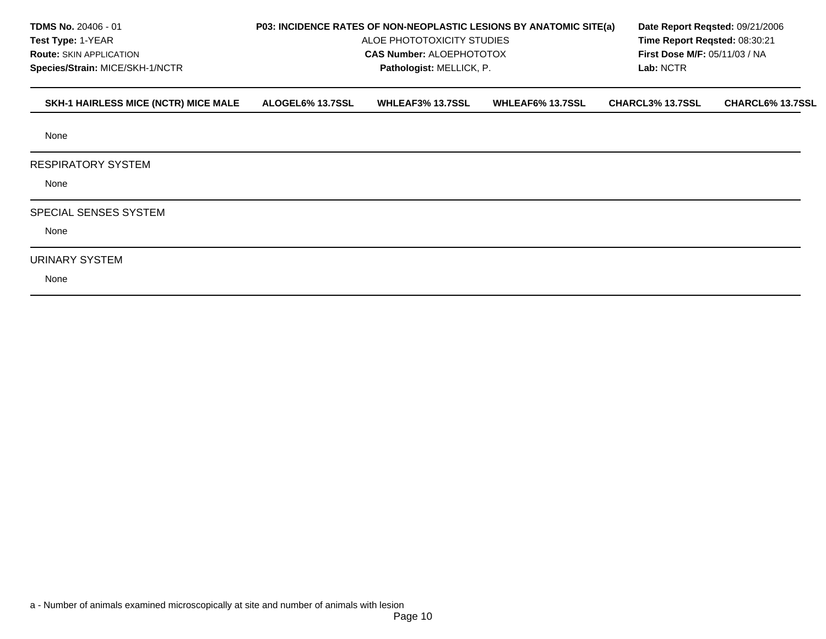| <b>TDMS No. 20406 - 01</b><br>Test Type: 1-YEAR<br><b>Route: SKIN APPLICATION</b><br>Species/Strain: MICE/SKH-1/NCTR |                  | P03: INCIDENCE RATES OF NON-NEOPLASTIC LESIONS BY ANATOMIC SITE(a)<br>ALOE PHOTOTOXICITY STUDIES<br><b>CAS Number: ALOEPHOTOTOX</b><br>Pathologist: MELLICK, P. | Lab: NCTR               | Date Report Regsted: 09/21/2006<br>Time Report Reqsted: 08:30:21<br><b>First Dose M/F: 05/11/03 / NA</b> |                  |
|----------------------------------------------------------------------------------------------------------------------|------------------|-----------------------------------------------------------------------------------------------------------------------------------------------------------------|-------------------------|----------------------------------------------------------------------------------------------------------|------------------|
| SKH-1 HAIRLESS MICE (NCTR) MICE MALE                                                                                 | ALOGEL6% 13.7SSL | <b>WHLEAF3% 13.7SSL</b>                                                                                                                                         | <b>WHLEAF6% 13.7SSL</b> | <b>CHARCL3% 13.7SSL</b>                                                                                  | CHARCL6% 13.7SSL |
| None                                                                                                                 |                  |                                                                                                                                                                 |                         |                                                                                                          |                  |
| <b>RESPIRATORY SYSTEM</b><br>None                                                                                    |                  |                                                                                                                                                                 |                         |                                                                                                          |                  |
| <b>SPECIAL SENSES SYSTEM</b><br>None                                                                                 |                  |                                                                                                                                                                 |                         |                                                                                                          |                  |
| URINARY SYSTEM<br>None                                                                                               |                  |                                                                                                                                                                 |                         |                                                                                                          |                  |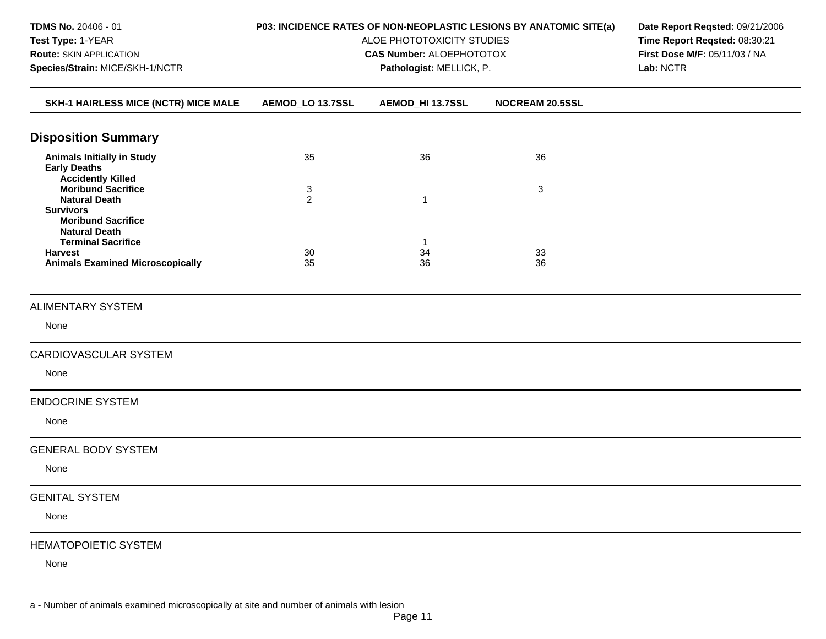| TDMS No. 20406 - 01<br>Test Type: 1-YEAR<br><b>Route: SKIN APPLICATION</b><br>Species/Strain: MICE/SKH-1/NCTR                  | P03: INCIDENCE RATES OF NON-NEOPLASTIC LESIONS BY ANATOMIC SITE(a)<br>ALOE PHOTOTOXICITY STUDIES<br><b>CAS Number: ALOEPHOTOTOX</b> | Date Report Reqsted: 09/21/2006<br>Time Report Reqsted: 08:30:21<br>First Dose M/F: 05/11/03 / NA<br>Lab: NCTR |                 |  |
|--------------------------------------------------------------------------------------------------------------------------------|-------------------------------------------------------------------------------------------------------------------------------------|----------------------------------------------------------------------------------------------------------------|-----------------|--|
| SKH-1 HAIRLESS MICE (NCTR) MICE MALE                                                                                           | AEMOD_LO 13.7SSL                                                                                                                    | AEMOD_HI 13.7SSL                                                                                               | NOCREAM 20.5SSL |  |
| <b>Disposition Summary</b>                                                                                                     |                                                                                                                                     |                                                                                                                |                 |  |
| <b>Animals Initially in Study</b><br><b>Early Deaths</b>                                                                       | 35                                                                                                                                  | 36                                                                                                             | 36              |  |
| <b>Accidently Killed</b><br><b>Moribund Sacrifice</b><br><b>Natural Death</b><br><b>Survivors</b><br><b>Moribund Sacrifice</b> | 3<br>$\overline{2}$                                                                                                                 | 1                                                                                                              | 3               |  |
| <b>Natural Death</b><br><b>Terminal Sacrifice</b><br><b>Harvest</b><br><b>Animals Examined Microscopically</b>                 | 30<br>35                                                                                                                            | $\mathbf{1}$<br>34<br>36                                                                                       | 33<br>36        |  |
| <b>ALIMENTARY SYSTEM</b>                                                                                                       |                                                                                                                                     |                                                                                                                |                 |  |
| None                                                                                                                           |                                                                                                                                     |                                                                                                                |                 |  |
| CARDIOVASCULAR SYSTEM                                                                                                          |                                                                                                                                     |                                                                                                                |                 |  |
| None                                                                                                                           |                                                                                                                                     |                                                                                                                |                 |  |
| <b>ENDOCRINE SYSTEM</b>                                                                                                        |                                                                                                                                     |                                                                                                                |                 |  |
| None                                                                                                                           |                                                                                                                                     |                                                                                                                |                 |  |
| <b>GENERAL BODY SYSTEM</b>                                                                                                     |                                                                                                                                     |                                                                                                                |                 |  |
| None                                                                                                                           |                                                                                                                                     |                                                                                                                |                 |  |
| <b>GENITAL SYSTEM</b><br>None                                                                                                  |                                                                                                                                     |                                                                                                                |                 |  |
| <b>HEMATOPOIETIC SYSTEM</b>                                                                                                    |                                                                                                                                     |                                                                                                                |                 |  |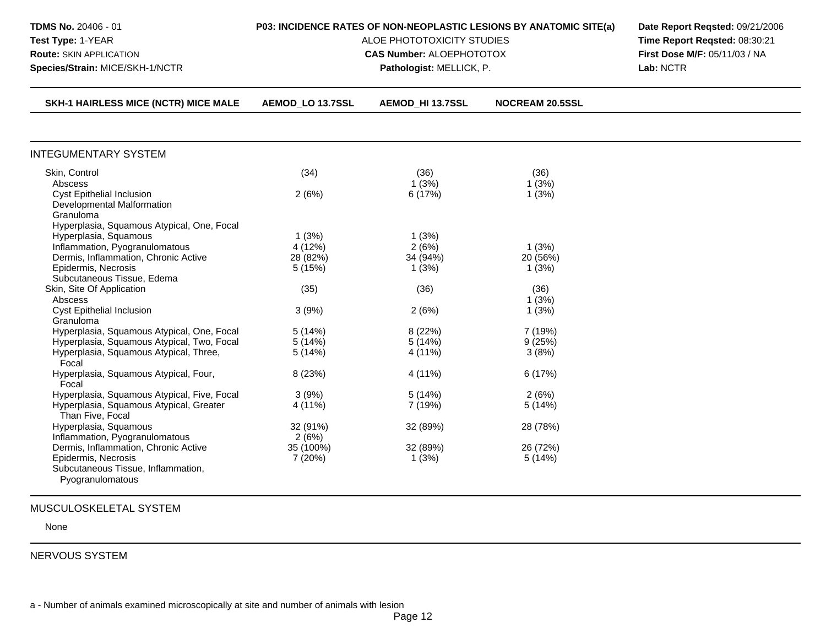| TDMS No. 20406 - 01<br>Test Type: 1-YEAR<br><b>Route: SKIN APPLICATION</b><br>Species/Strain: MICE/SKH-1/NCTR                                                                                      | P03: INCIDENCE RATES OF NON-NEOPLASTIC LESIONS BY ANATOMIC SITE(a)<br>ALOE PHOTOTOXICITY STUDIES<br><b>CAS Number: ALOEPHOTOTOX</b> | Date Report Reqsted: 09/21/2006<br>Time Report Reqsted: 08:30:21<br>First Dose M/F: 05/11/03 / NA<br>Lab: NCTR |                            |  |
|----------------------------------------------------------------------------------------------------------------------------------------------------------------------------------------------------|-------------------------------------------------------------------------------------------------------------------------------------|----------------------------------------------------------------------------------------------------------------|----------------------------|--|
| <b>SKH-1 HAIRLESS MICE (NCTR) MICE MALE</b>                                                                                                                                                        | AEMOD LO 13.7SSL                                                                                                                    | <b>AEMOD HI 13.7SSL</b>                                                                                        | <b>NOCREAM 20.5SSL</b>     |  |
| <b>INTEGUMENTARY SYSTEM</b>                                                                                                                                                                        |                                                                                                                                     |                                                                                                                |                            |  |
| Skin, Control<br>Abscess<br><b>Cyst Epithelial Inclusion</b><br>Developmental Malformation<br>Granuloma                                                                                            | (34)<br>2(6%)                                                                                                                       | (36)<br>1(3%)<br>6 (17%)                                                                                       | (36)<br>1(3%)<br>1(3%)     |  |
| Hyperplasia, Squamous Atypical, One, Focal<br>Hyperplasia, Squamous<br>Inflammation, Pyogranulomatous<br>Dermis, Inflammation, Chronic Active<br>Epidermis, Necrosis<br>Subcutaneous Tissue, Edema | 1(3%)<br>4 (12%)<br>28 (82%)<br>5(15%)                                                                                              | 1(3%)<br>2(6%)<br>34 (94%)<br>1(3%)                                                                            | 1(3%)<br>20 (56%)<br>1(3%) |  |
| Skin, Site Of Application<br>Abscess<br>Cyst Epithelial Inclusion                                                                                                                                  | (35)<br>3(9%)                                                                                                                       | (36)<br>2(6%)                                                                                                  | (36)<br>1(3%)<br>1(3%)     |  |
| Granuloma<br>Hyperplasia, Squamous Atypical, One, Focal<br>Hyperplasia, Squamous Atypical, Two, Focal<br>Hyperplasia, Squamous Atypical, Three,<br>Focal                                           | 5(14%)<br>5(14%)<br>5(14%)                                                                                                          | 8(22%)<br>5(14%)<br>4 (11%)                                                                                    | 7(19%)<br>9(25%)<br>3(8%)  |  |
| Hyperplasia, Squamous Atypical, Four,<br>Focal                                                                                                                                                     | 8 (23%)                                                                                                                             | 4 (11%)                                                                                                        | 6(17%)                     |  |
| Hyperplasia, Squamous Atypical, Five, Focal<br>Hyperplasia, Squamous Atypical, Greater<br>Than Five, Focal                                                                                         | 3(9%)<br>4 (11%)                                                                                                                    | 5(14%)<br>7 (19%)                                                                                              | 2(6%)<br>5(14%)            |  |
| Hyperplasia, Squamous<br>Inflammation, Pyogranulomatous                                                                                                                                            | 32 (91%)<br>2(6%)                                                                                                                   | 32 (89%)                                                                                                       | 28 (78%)                   |  |
| Dermis, Inflammation, Chronic Active<br>Epidermis, Necrosis<br>Subcutaneous Tissue, Inflammation,<br>Pyogranulomatous                                                                              | 35 (100%)<br>7 (20%)                                                                                                                | 32 (89%)<br>1(3%)                                                                                              | 26 (72%)<br>5(14%)         |  |

## MUSCULOSKELETAL SYSTEM

None

## NERVOUS SYSTEM